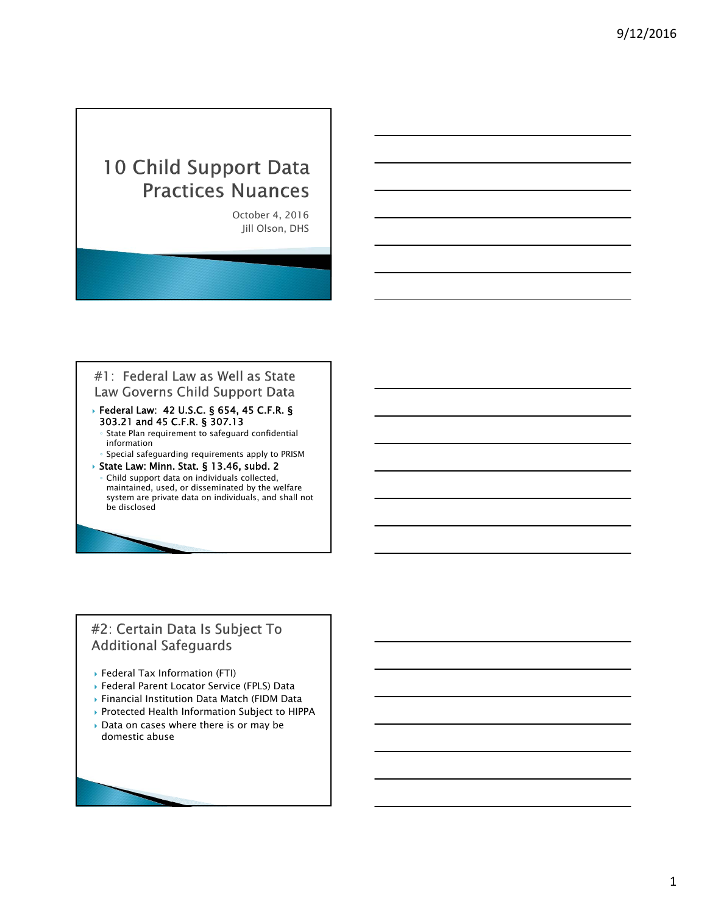# 10 Child Support Data **Practices Nuances**

October 4, 2016 Jill Olson, DHS

### #1: Federal Law as Well as State Law Governs Child Support Data

- Federal Law: 42 U.S.C. § 654, 45 C.F.R. § 303.21 and 45 C.F.R. § 307.13
	- State Plan requirement to safeguard confidential information
- Special safeguarding requirements apply to PRISM State Law: Minn. Stat. § 13.46, subd. 2
- Child support data on individuals collected, maintained, used, or disseminated by the welfare system are private data on individuals, and shall not be disclosed

### #2: Certain Data Is Subject To **Additional Safeguards**

- Federal Tax Information (FTI)
- Federal Parent Locator Service (FPLS) Data
- Financial Institution Data Match (FIDM Data
- Protected Health Information Subject to HIPPA
- Data on cases where there is or may be domestic abuse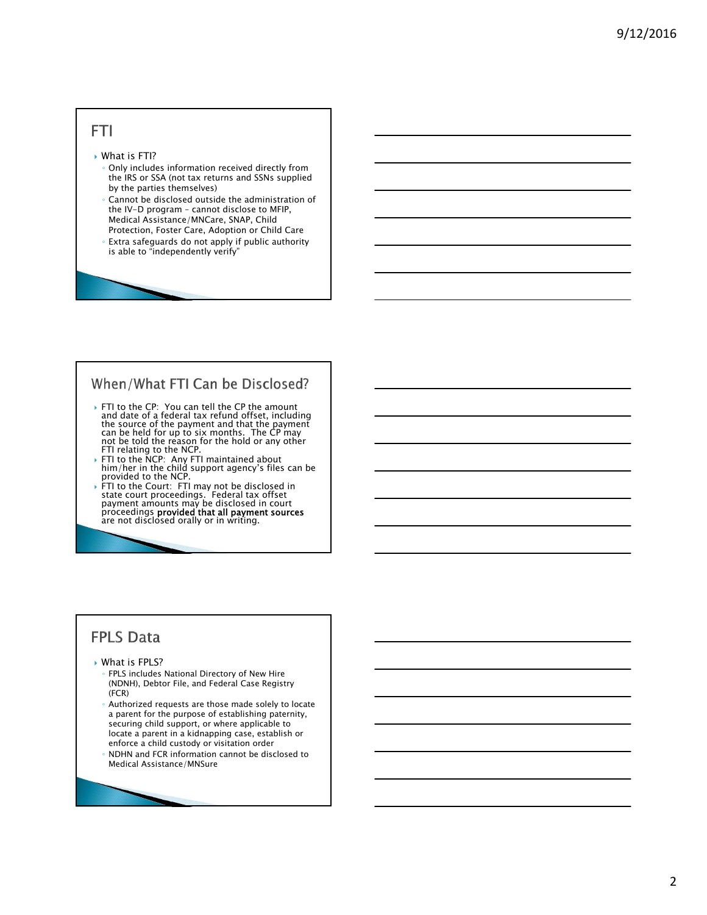### **FTI**

#### ▶ What is FTI?

- Only includes information received directly from the IRS or SSA (not tax returns and SSNs supplied by the parties themselves)
- Cannot be disclosed outside the administration of the IV-D program – cannot disclose to MFIP, Medical Assistance/MNCare, SNAP, Child Protection, Foster Care, Adoption or Child Care
- Extra safeguards do not apply if public authority is able to "independently verify"

### When/What FTI Can be Disclosed?

- FTI to the CP: You can tell the CP the amount and date of a federal tax refund offset, including the source of the payment and that the payment<br>can be held for up to six months. The CP may not be told the reason for the hold or any other<br>FTI relating to the NCP.
- FTI to the NCP: Any FTI maintained about him/her in the child support agency's files can be provided to the NCP.
- FTI to the Court: FTI may not be disclosed in state court proceedings. Federal tax offset payment amounts may be disclosed in court proceedings **provided that all payment sources** are not disclosed orally or in writing.

### **FPLS Data**

#### ▶ What is FPLS?

- FPLS includes National Directory of New Hire (NDNH), Debtor File, and Federal Case Registry (FCR)
- Authorized requests are those made solely to locate a parent for the purpose of establishing paternity, securing child support, or where applicable to locate a parent in a kidnapping case, establish or enforce a child custody or visitation order
- NDHN and FCR information cannot be disclosed to Medical Assistance/MNSure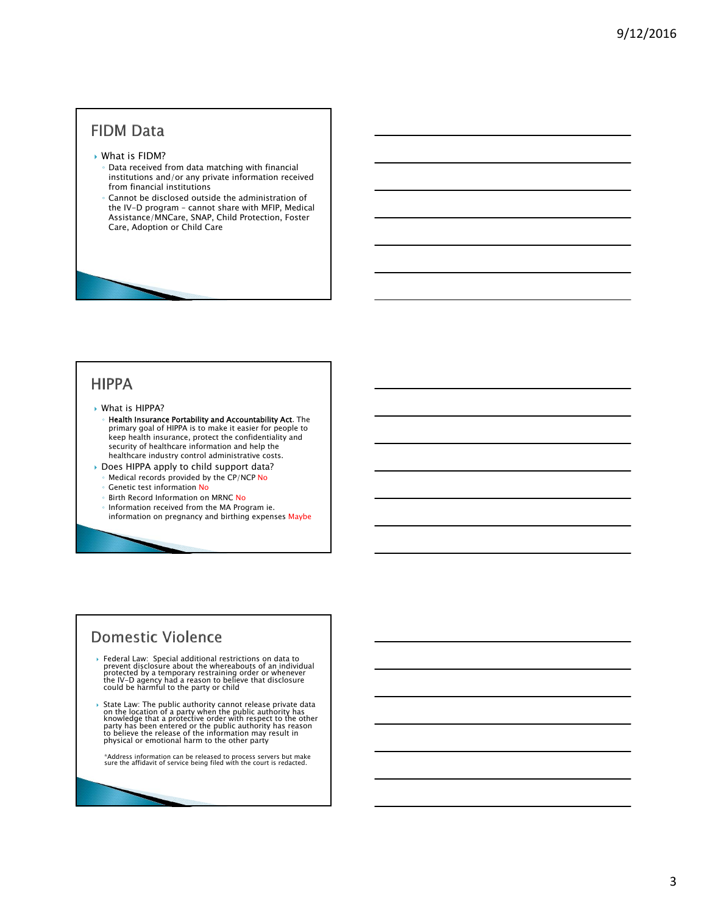### **FIDM Data**

#### What is FIDM?

- Data received from data matching with financial institutions and/or any private information received from financial institutions
- Cannot be disclosed outside the administration of the IV-D program – cannot share with MFIP, Medical Assistance/MNCare, SNAP, Child Protection, Foster Care, Adoption or Child Care

### **HIPPA**

#### What is HIPPA?

- Health Insurance Portability and Accountability Act. The primary goal of HIPPA is to make it easier for people to keep health insurance, protect the confidentiality and security of healthcare information and help the healthcare industry control administrative costs.
- Does HIPPA apply to child support data?
	- Medical records provided by the CP/NCP No
	- Genetic test information No
	- Birth Record Information on MRNC No
	- Information received from the MA Program ie. information on pregnancy and birthing expenses Maybe

### **Domestic Violence**

- $\triangleright$  Federal Law: Special additional restrictions on data to<br>prevent disclosure about the whereabouts of an individual<br>protected by a temporary restraining order or whenever<br>the IV-D agency had a reason to believe that
- ▶ State Law: The public authority cannot release private data<br>on the location of a party when the public authority has<br>knowledge that a protective order with respect to the other party has been entered or the public authority has reason<br>to believe the release of the information may result in physical or emotional harm to the other party

\*Address information can be released to process servers but make sure the affidavit of service being filed with the court is redacted.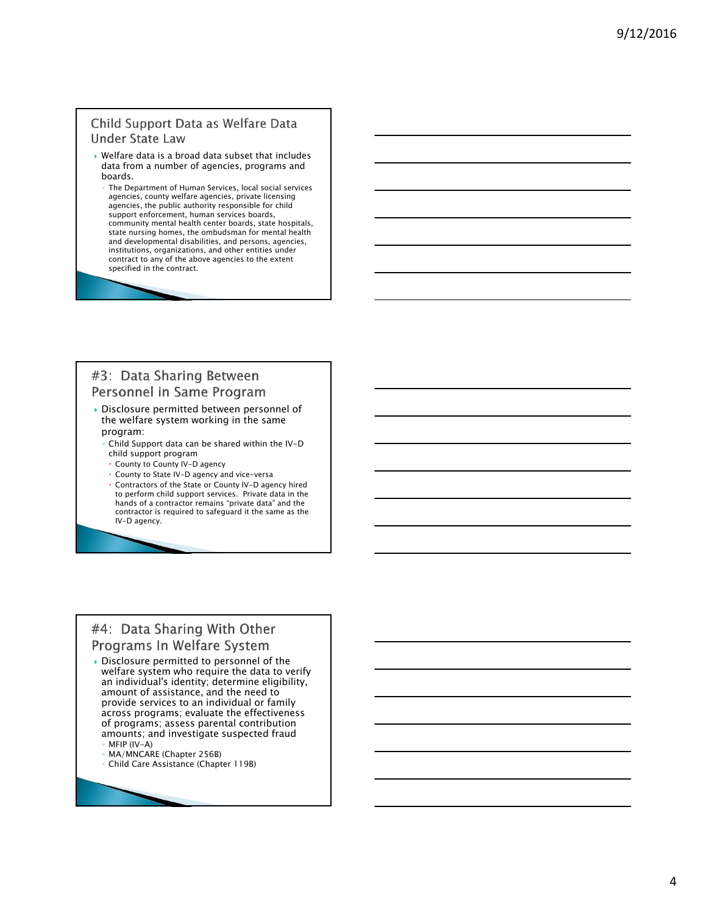#### Child Support Data as Welfare Data **Under State Law**

- Welfare data is a broad data subset that includes data from a number of agencies, programs and boards.
- The Department of Human Services, local social services agencies, county welfare agencies, private licensing agencies, the public authority responsible for child support enforcement, human services boards, community mental health center boards, state hospitals, state nursing homes, the ombudsman for mental health and developmental disabilities, and persons, agencies, institutions, organizations, and other entities under contract to any of the above agencies to the extent specified in the contract.

#### #3: Data Sharing Between Personnel in Same Program

- Disclosure permitted between personnel of the welfare system working in the same program:
	- Child Support data can be shared within the IV-D child support program
	- County to County IV-D agency
	- County to State IV-D agency and vice-versa
	- Contractors of the State or County IV-D agency hired to perform child support services. Private data in the hands of a contractor remains "private data" and the contractor is required to safeguard it the same as the IV-D agency.

### #4: Data Sharing With Other Programs In Welfare System

- Disclosure permitted to personnel of the welfare system who require the data to verify an individual's identity; determine eligibility, amount of assistance, and the need to provide services to an individual or family across programs; evaluate the effectiveness of programs; assess parental contribution amounts; and investigate suspected fraud ◦ MFIP (IV-A)
	- MA/MNCARE (Chapter 256B)
	- Child Care Assistance (Chapter 119B)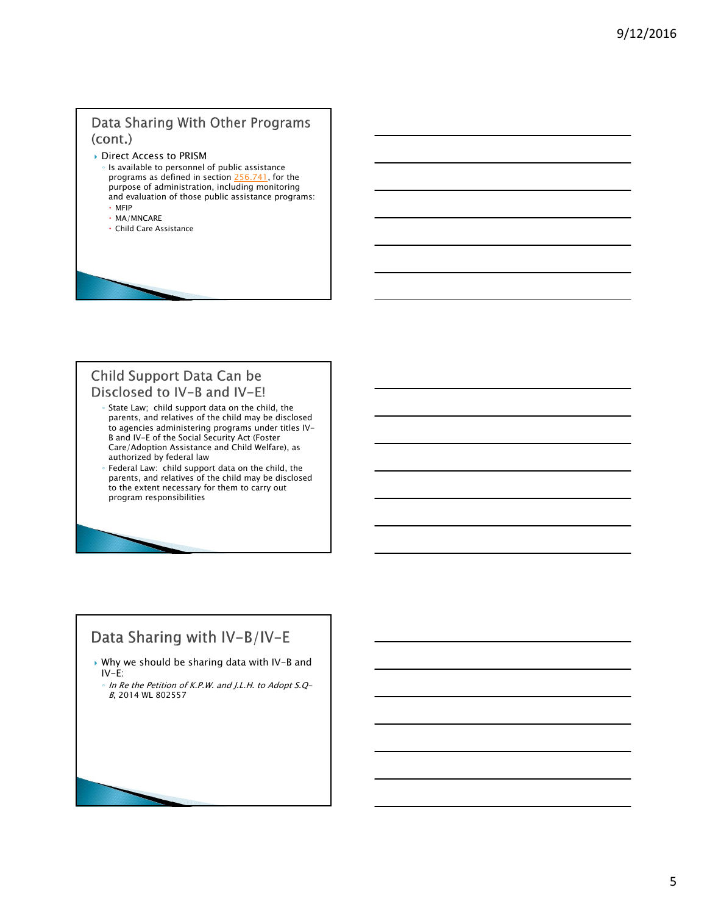### Data Sharing With Other Programs (cont.)

- Direct Access to PRISM
	- Is available to personnel of public assistance programs as defined in section 256.741, for the purpose of administration, including monitoring and evaluation of those public assistance programs: MFIP
	- MA/MNCARE
	- Child Care Assistance

#### Child Support Data Can be Disclosed to IV-B and IV-E!

- State Law; child support data on the child, the parents, and relatives of the child may be disclosed to agencies administering programs under titles IV-B and IV-E of the Social Security Act (Foster Care/Adoption Assistance and Child Welfare), as authorized by federal law
- Federal Law: child support data on the child, the parents, and relatives of the child may be disclosed to the extent necessary for them to carry out program responsibilities

### Data Sharing with IV-B/IV-E

- Why we should be sharing data with IV-B and IV-E:
	- In Re the Petition of K.P.W. and J.L.H. to Adopt S.Q-B, 2014 WL 802557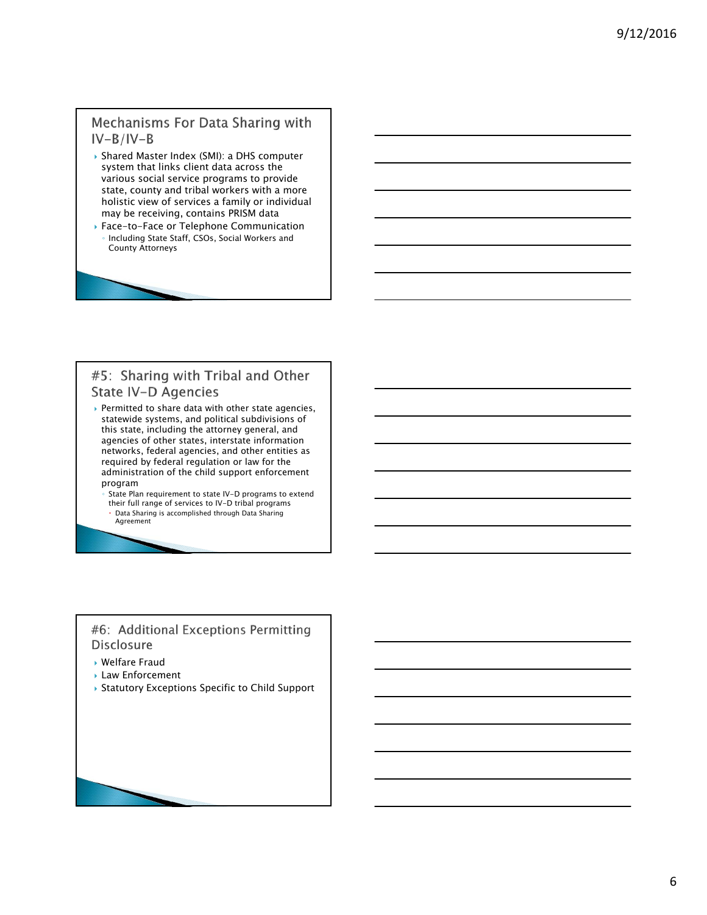### **Mechanisms For Data Sharing with**  $IV-B/IV-B$

- Shared Master Index (SMI): a DHS computer system that links client data across the various social service programs to provide state, county and tribal workers with a more holistic view of services a family or individual may be receiving, contains PRISM data
- Face-to-Face or Telephone Communication Including State Staff, CSOs, Social Workers and County Attorneys

### #5: Sharing with Tribal and Other State IV-D Agencies

Permitted to share data with other state agencies, statewide systems, and political subdivisions of this state, including the attorney general, and agencies of other states, interstate information networks, federal agencies, and other entities as required by federal regulation or law for the administration of the child support enforcement program

State Plan requirement to state IV-D programs to extend their full range of services to IV-D tribal programs Data Sharing is accomplished through Data Sharing Agreement

#### #6: Additional Exceptions Permitting **Disclosure**

- Welfare Fraud
- Law Enforcement
- Statutory Exceptions Specific to Child Support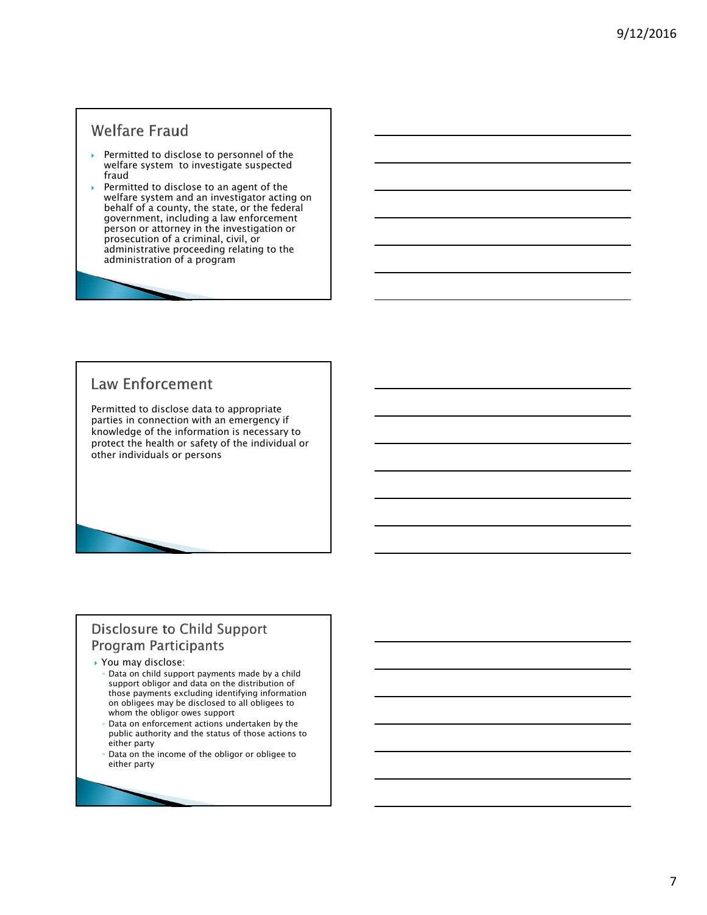### **Welfare Fraud**

- Permitted to disclose to personnel of the welfare system to investigate suspected fraud
- Permitted to disclose to an agent of the welfare system and an investigator acting on behalf of a county, the state, or the federal government, including a law enforcement person or attorney in the investigation or prosecution of a criminal, civil, or administrative proceeding relating to the administration of a program

## **Law Enforcement**

Permitted to disclose data to appropriate parties in connection with an emergency if knowledge of the information is necessary to protect the health or safety of the individual or other individuals or persons

### **Disclosure to Child Support Program Participants**

#### ▶ You may disclose:

- Data on child support payments made by a child support obligor and data on the distribution of those payments excluding identifying information on obligees may be disclosed to all obligees to whom the obligor owes support
- Data on enforcement actions undertaken by the public authority and the status of those actions to either party
- Data on the income of the obligor or obligee to either party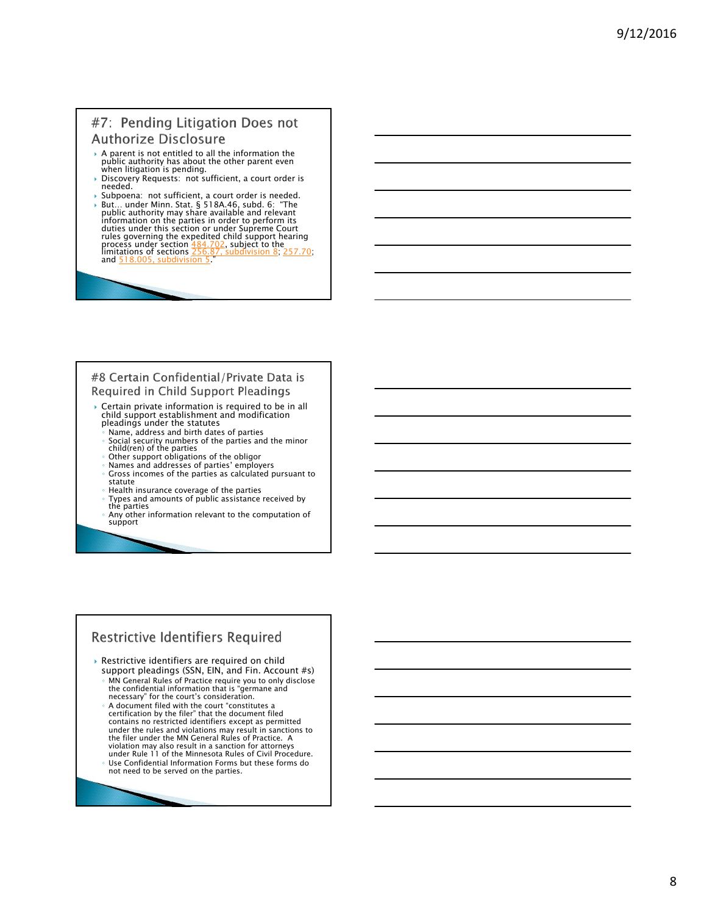#### #7: Pending Litigation Does not **Authorize Disclosure**

- A parent is not entitled to all the information the public authority has about the other parent even when litigation is pending.
- Discovery Requests: not sufficient, a court order is needed.<br>
> Subpoena: not sufficient, a court order is needed.
- 
- Subpoena: not sufficient, a court order is needed.<br>
But... under Minn. Stat. § 518A.46, subd. 6: "The public authority may share available and relevant<br>
information on the parties in order to perform its<br>
duties under thi process under section <u>484.702</u>, subject to the<br>limitations of sections <u>256.87, subdivision 8; 257.70;</u><br>and <mark>518.005, subdivision 5</mark>."

#### #8 Certain Confidential/Private Data is Required in Child Support Pleadings

- Certain private information is required to be in all child support establishment and modification pleadings under the statutes
	- Name, address and birth dates of parties
	- Social security numbers of the parties and the minor child(ren) of the parties
	- Other support obligations of the obligor
	- Names and addresses of parties' employers Gross incomes of the parties as calculated pursuant to statute
- Health insurance coverage of the parties
- Types and amounts of public assistance received by the parties
- Any other information relevant to the computation of support

#### **Restrictive Identifiers Required**

- Restrictive identifiers are required on child support pleadings (SSN, EIN, and Fin. Account #s)
	- MN General Rules of Practice require you to only disclose the confidential information that is "germane and necessary" for the court's consideration.
	- A document filed with the court "constitutes a certification by the filer" that the document filed contains no restricted identifiers except as permitted under the rules and violations may result in sanctions to the filer under the MN General Rules of Practice. A violation may also result in a sanction for attorneys under Rule 11 of the Minnesota Rules of Civil Procedure. Use Confidential Information Forms but these forms do not need to be served on the parties.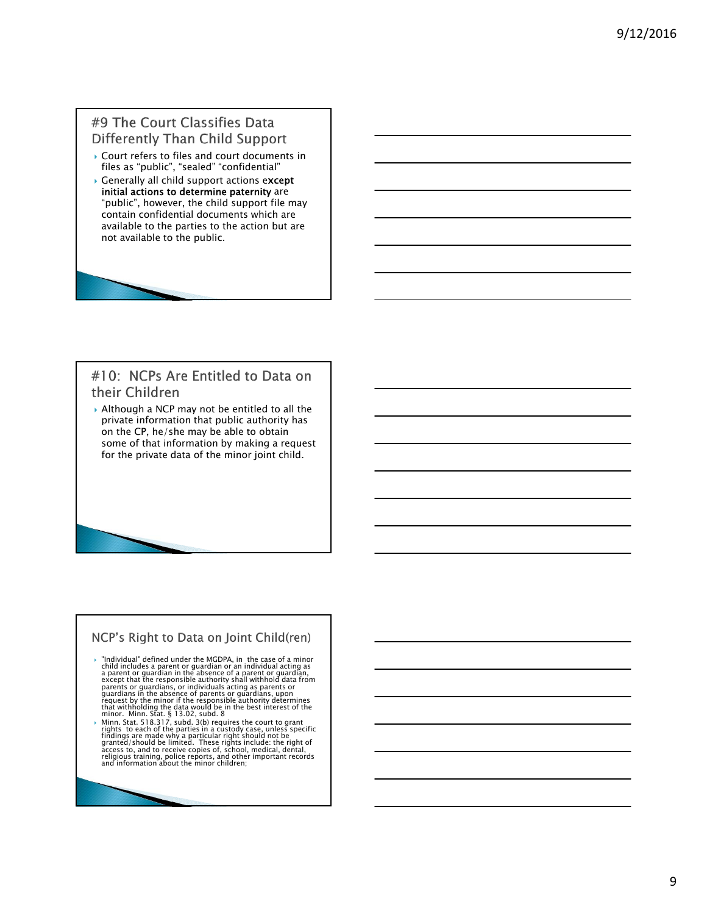#### #9 The Court Classifies Data Differently Than Child Support

- Court refers to files and court documents in files as "public", "sealed" "confidential"
- Generally all child support actions except initial actions to determine paternity are "public", however, the child support file may contain confidential documents which are available to the parties to the action but are not available to the public.

#### #10: NCPs Are Entitled to Data on their Children

▶ Although a NCP may not be entitled to all the private information that public authority has on the CP, he/she may be able to obtain some of that information by making a request for the private data of the minor joint child.

### NCP's Right to Data on Joint Child(ren)

- "Individual" defined under the MGDPA, in the case of a minor child includes a parent or guardian or an individual acting as parent or guardian and parent or guardians, except that the responsible authority shall withhold
- Minn. Stat. 518.317, subd. 3(b) requires the court to grant<br>rights to each of the parties in a custody case, unless specific<br>findings are made why a particular right should not be<br>granted/should be limited. These rights in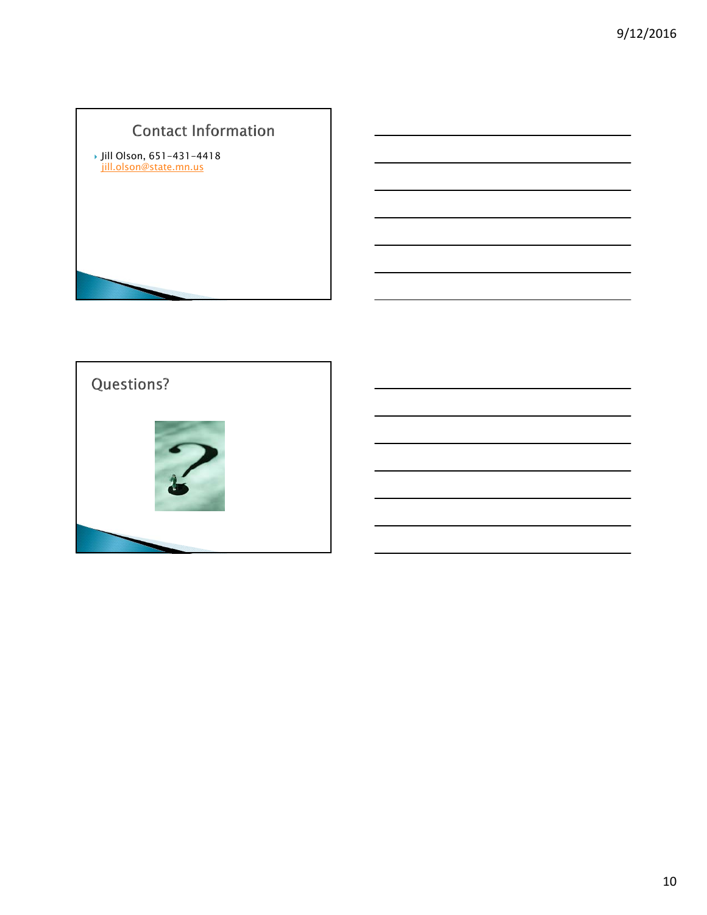# **Contact Information**

 Jill Olson, 651-431-4418 jill.olson@state.mn.us

Questions?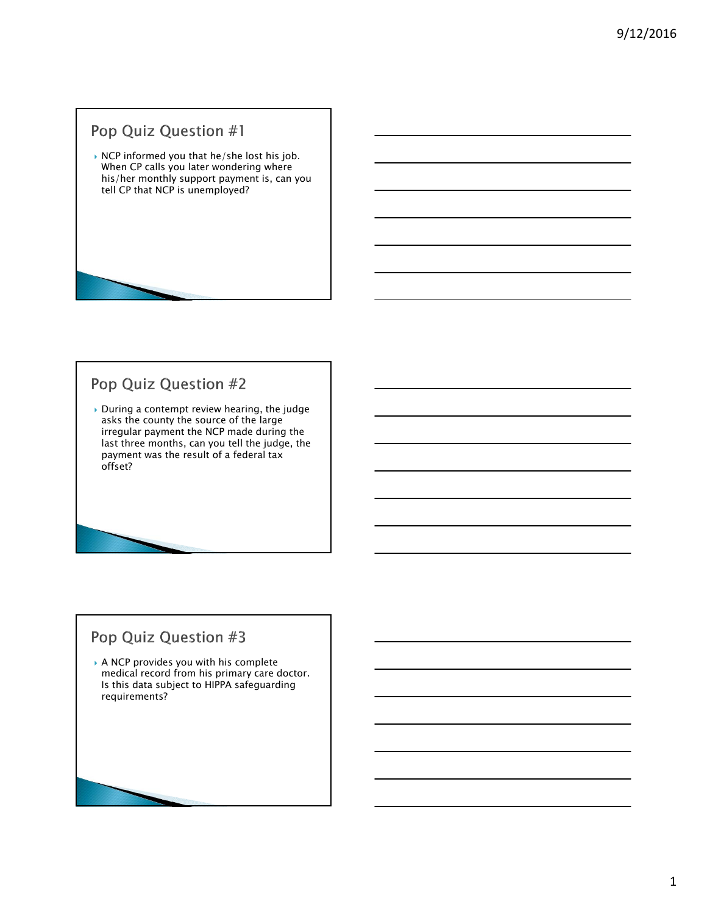# Pop Quiz Question #1

▶ NCP informed you that he/she lost his job. When CP calls you later wondering where his/her monthly support payment is, can you tell CP that NCP is unemployed?

# Pop Quiz Question #2

 During a contempt review hearing, the judge asks the county the source of the large irregular payment the NCP made during the last three months, can you tell the judge, the payment was the result of a federal tax offset?

### Pop Quiz Question #3

 A NCP provides you with his complete medical record from his primary care doctor. Is this data subject to HIPPA safeguarding requirements?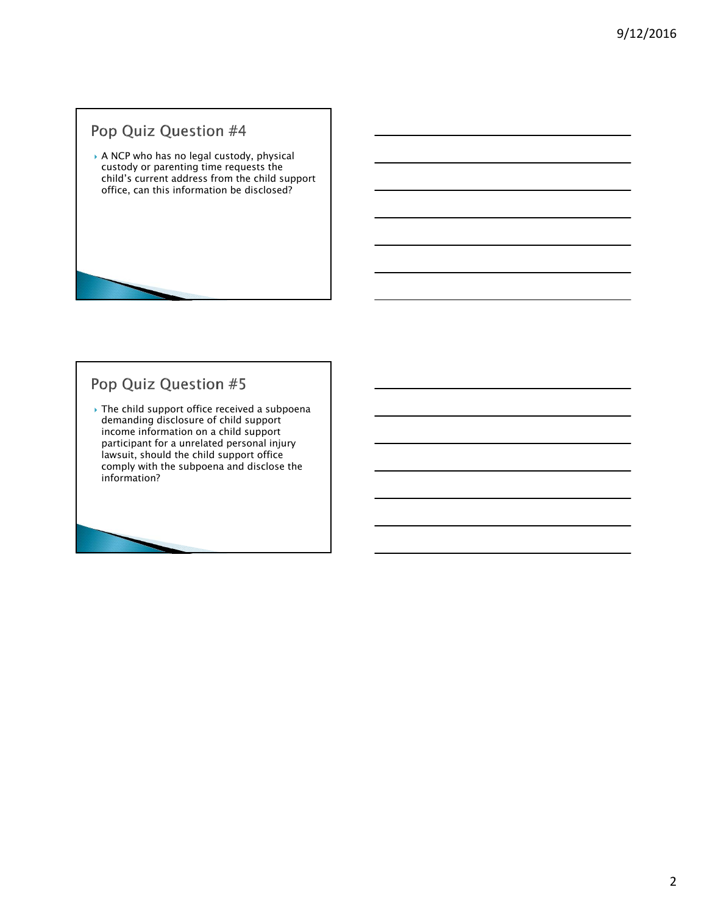# Pop Quiz Question #4

 $\rightarrow$  A NCP who has no legal custody, physical custody or parenting time requests the child's current address from the child support office, can this information be disclosed?

# Pop Quiz Question #5

 The child support office received a subpoena demanding disclosure of child support income information on a child support participant for a unrelated personal injury lawsuit, should the child support office comply with the subpoena and disclose the information?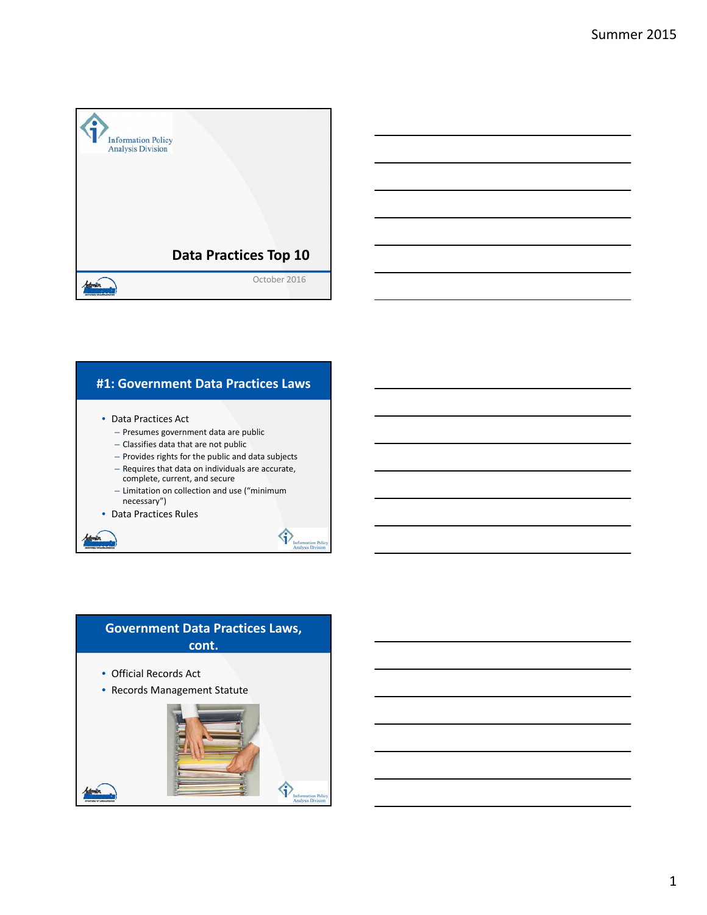

#### **#1: Government Data Practices Laws**

- Data Practices Act
	- Presumes government data are public
	- Classifies data that are not public
	- Provides rights for the public and data subjects
	- Requires that data on individuals are accurate, complete, current, and secure
	- Limitation on collection and use ("minimum necessary")

令

• Data Practices Rules

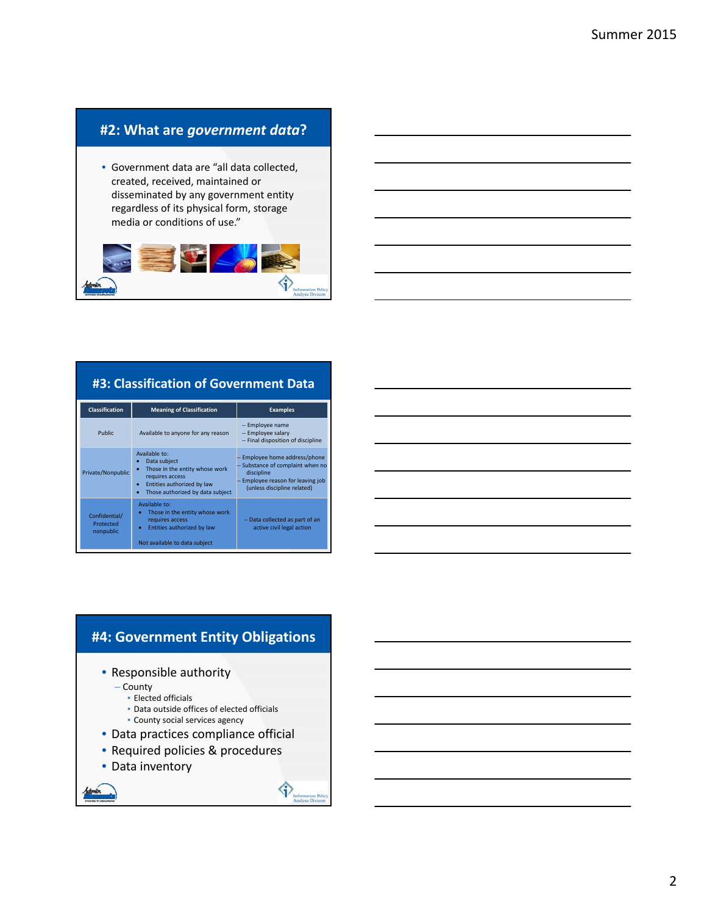### **#2: What are** *government data***?**

• Government data are "all data collected, created, received, maintained or disseminated by any government entity regardless of its physical form, storage media or conditions of use."



### **#3: Classification of Government Data**

| <b>Classification</b>                   | <b>Meaning of Classification</b>                                                                                                                                       | <b>Examples</b>                                                                                                                                        |
|-----------------------------------------|------------------------------------------------------------------------------------------------------------------------------------------------------------------------|--------------------------------------------------------------------------------------------------------------------------------------------------------|
| Public                                  | Available to anyone for any reason                                                                                                                                     | -- Employee name<br>-- Employee salary<br>-- Final disposition of discipline                                                                           |
| Private/Nonpublic                       | Available to:<br>Data subject<br>Those in the entity whose work<br>$\bullet$<br>requires access<br>Entities authorized by law<br>٠<br>Those authorized by data subject | -- Employee home address/phone<br>-- Substance of complaint when no<br>discipline<br>-- Employee reason for leaving job<br>(unless discipline related) |
| Confidential/<br>Protected<br>nonpublic | Available to:<br>Those in the entity whose work<br>requires access<br>Entities authorized by law<br>۰<br>Not available to data subject                                 | -- Data collected as part of an<br>active civil legal action                                                                                           |

### **#4: Government Entity Obligations**

- Responsible authority
	- County
		- Elected officials
		- Data outside offices of elected officials
		- County social services agency
- Data practices compliance official
- Required policies & procedures
- Data inventory

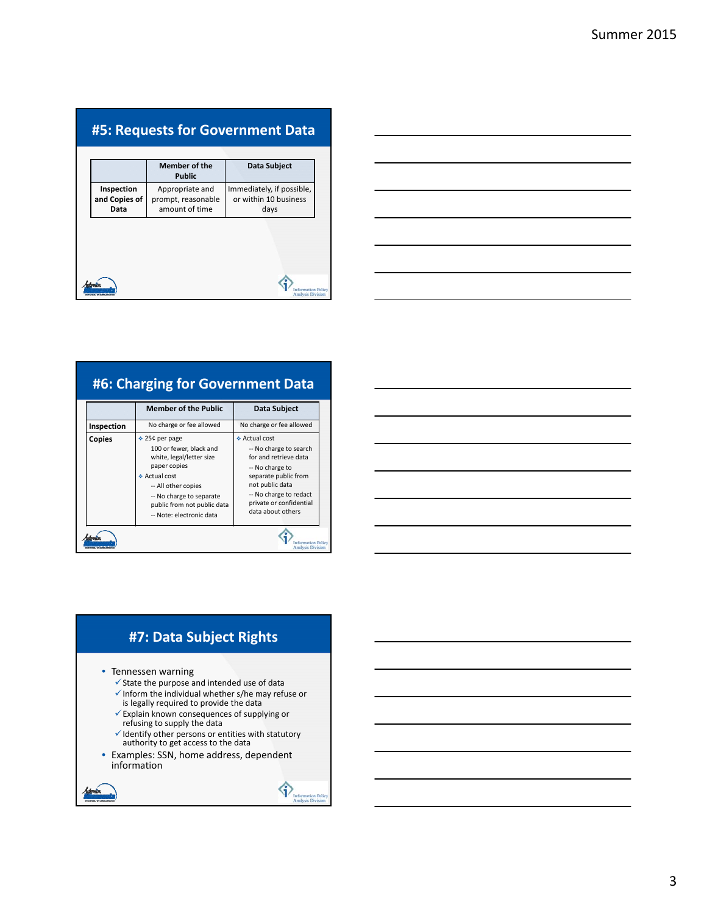# **#5: Requests for Government Data**

|                                     | <b>Member of the</b><br><b>Public</b>                   | Data Subject                                               |
|-------------------------------------|---------------------------------------------------------|------------------------------------------------------------|
| Inspection<br>and Copies of<br>Data | Appropriate and<br>prompt, reasonable<br>amount of time | Immediately, if possible,<br>or within 10 business<br>days |
|                                     |                                                         |                                                            |
|                                     |                                                         |                                                            |
|                                     |                                                         |                                                            |

| <u> 1989 - Johann Stoff, deutscher Stoff, der Stoff, der Stoff, der Stoff, der Stoff, der Stoff, der Stoff, der S</u> |  |  |
|-----------------------------------------------------------------------------------------------------------------------|--|--|
|                                                                                                                       |  |  |
| <u> 1989 - Johann Stoff, amerikansk politiker (d. 1989)</u>                                                           |  |  |
| <u> 1989 - Johann Stoff, amerikansk politiker (d. 1989)</u>                                                           |  |  |
|                                                                                                                       |  |  |
|                                                                                                                       |  |  |

# **#6: Charging for Government Data**

| No charge or fee allowed<br>No charge or fee allowed<br>Inspection<br>❖ Actual cost<br>❖ 25¢ per page<br>Copies<br>100 or fewer, black and<br>-- No charge to search<br>for and retrieve data<br>white, legal/letter size<br>paper copies<br>-- No charge to<br>❖ Actual cost<br>separate public from<br>not public data<br>-- All other copies<br>-- No charge to redact<br>-- No charge to separate<br>private or confidential<br>public from not public data<br>data about others<br>-- Note: electronic data | <b>Member of the Public</b> | Data Subject |
|------------------------------------------------------------------------------------------------------------------------------------------------------------------------------------------------------------------------------------------------------------------------------------------------------------------------------------------------------------------------------------------------------------------------------------------------------------------------------------------------------------------|-----------------------------|--------------|
|                                                                                                                                                                                                                                                                                                                                                                                                                                                                                                                  |                             |              |
|                                                                                                                                                                                                                                                                                                                                                                                                                                                                                                                  |                             |              |

### **#7: Data Subject Rights**

- Tennessen warning
	- $\checkmark$  State the purpose and intended use of data
	- $\checkmark$  Inform the individual whether s/he may refuse or is legally required to provide the data
	-
	- Explain known consequences of supplying or refusing to supply the data
	- $\checkmark$  Identify other persons or entities with statutory<br>authority to get access to the data
- Examples: SSN, home address, dependent information

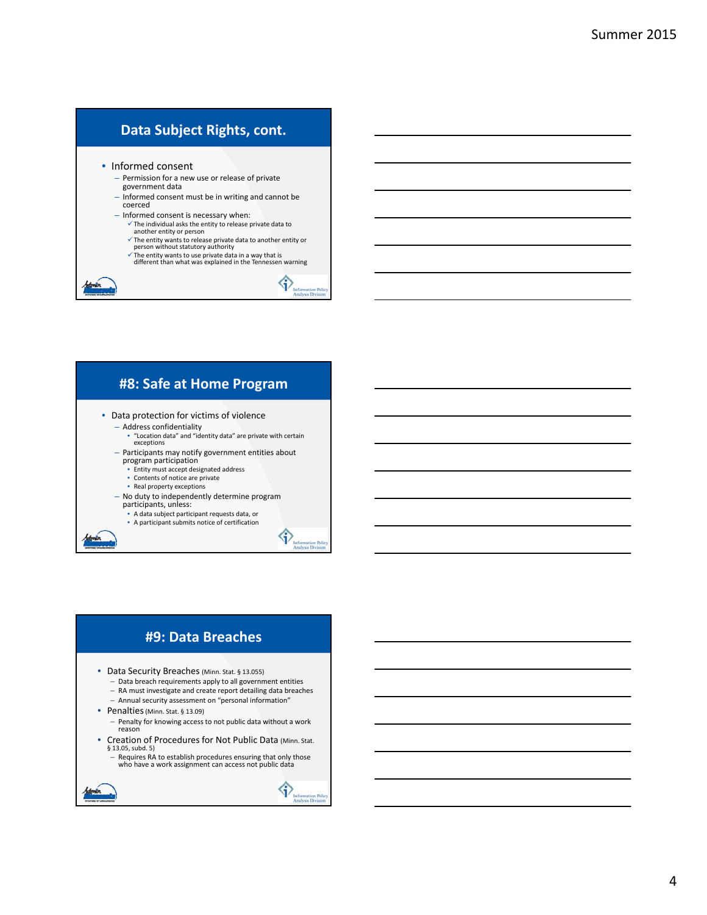### **Data Subject Rights, cont.**

• Informed consent

- Permission for a new use or release of private government data
- Informed consent must be in writing and cannot be coerced
- Informed consent is necessary when:
	- $\checkmark$  The individual asks the entity to release private data to another entity or person
	- $\checkmark$  The entity wants to release private data to another entity or person without statutory authority
	- $\checkmark$  The entity wants to use private data in a way that is different than what was explained in the Tennessen warning

 $\bigcirc$ 

◆

### **#8: Safe at Home Program**

- Data protection for victims of violence
	- Address confidentiality
	- "Location data" and "identity data" are private with certain exceptions – Participants may notify government entities about
	- program participation
		- Entity must accept designated address
		- Contents of notice are private
		- Real property exceptions
	- No duty to independently determine program participants, unless:
	-
	- A data subject participant requests data, or
	- A participant submits notice of certification

### **#9: Data Breaches**

- Data Security Breaches (Minn. Stat. § 13.055)
	- Data breach requirements apply to all government entities
	- RA must investigate and create report detailing data breaches
	- Annual security assessment on "personal information"
- Penalties(Minn. Stat. § 13.09)
	- Penalty for knowing access to not public data without a work reason
- Creation of Procedures for Not Public Data (Minn. Stat. § 13.05, subd. 5)
	- Requires RA to establish procedures ensuring that only those who have a work assignment can access not public data

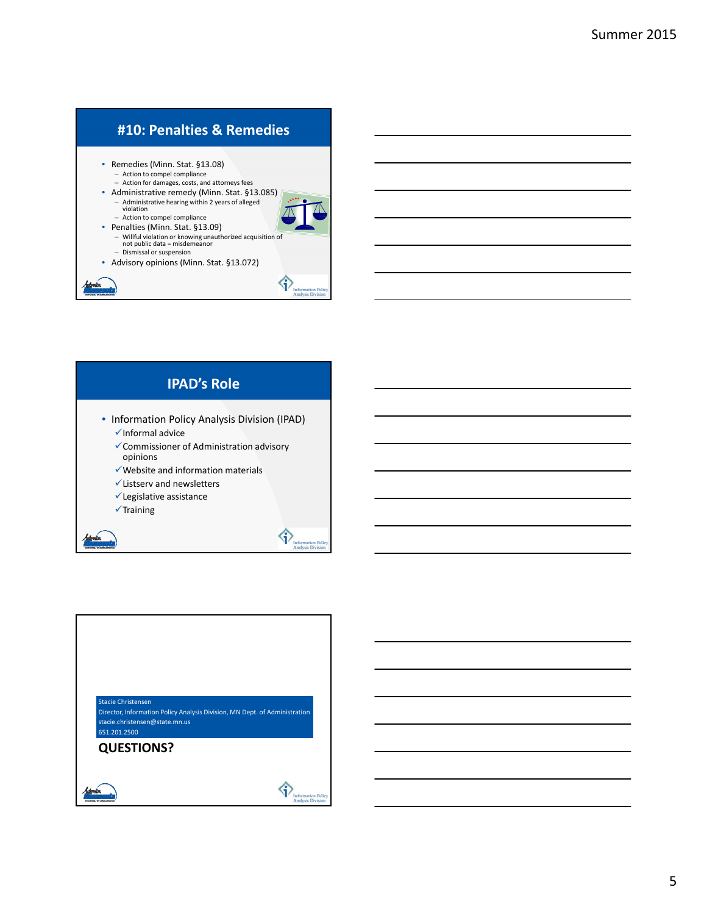# **#10: Penalties & Remedies**

• Remedies (Minn. Stat. §13.08) – Action to compel compliance – Action for damages, costs, and attorneys fees

- Administrative remedy (Minn. Stat. §13.085)
- Administrative hearing within 2 years of alleged violation
- Action to compel compliance • Penalties (Minn. Stat. §13.09)
- Willful violation or knowing unauthorized acquisition of not public data = misdemeanor – Dismissal or suspension • Advisory opinions (Minn. Stat. §13.072)

♦





| <b>Stacie Christensen</b><br>Director, Information Policy Analysis Division, MN Dept. of Administration<br>stacie.christensen@state.mn.us<br>651.201.2500 |
|-----------------------------------------------------------------------------------------------------------------------------------------------------------|
| <b>QUESTIONS?</b>                                                                                                                                         |
|                                                                                                                                                           |
| <b>Information Policy</b><br><b>Analysis Division</b>                                                                                                     |

#### 5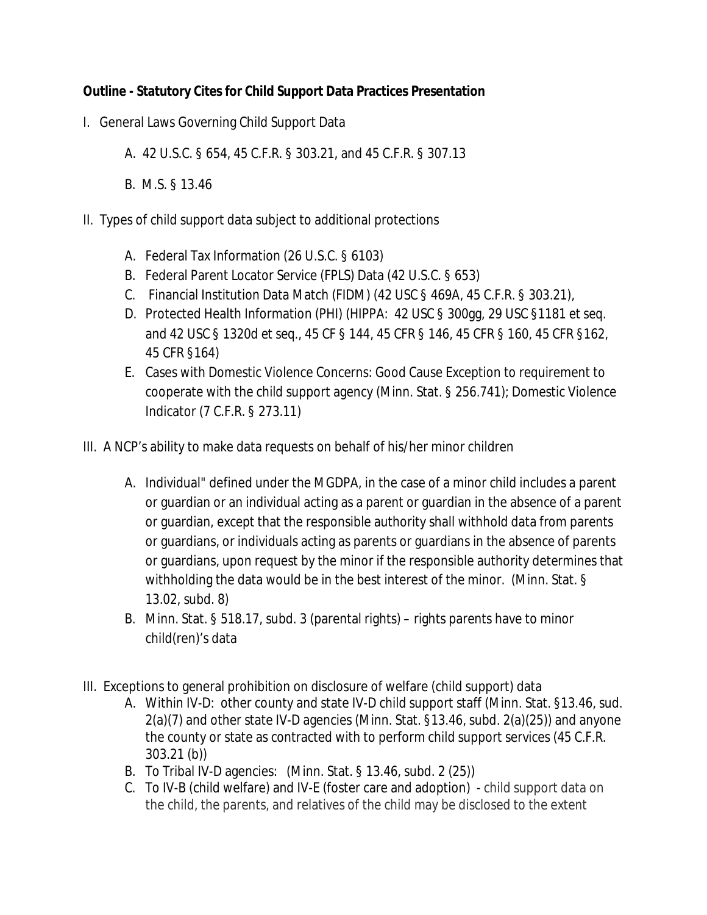### **Outline - Statutory Cites for Child Support Data Practices Presentation**

- I. General Laws Governing Child Support Data
	- A. 42 U.S.C. § 654, 45 C.F.R. § 303.21, and 45 C.F.R. § 307.13
	- B. M.S. § 13.46
- II. Types of child support data subject to additional protections
	- A. Federal Tax Information (26 U.S.C. § 6103)
	- B. Federal Parent Locator Service (FPLS) Data (42 U.S.C. § 653)
	- C. Financial Institution Data Match (FIDM) (42 USC § 469A, 45 C.F.R. § 303.21),
	- D. Protected Health Information (PHI) (HIPPA: 42 USC § 300gg, 29 USC §1181 *et seq*. and 42 USC § 1320d *et seq*., 45 CF § 144, 45 CFR § 146, 45 CFR § 160, 45 CFR §162, 45 CFR §164)
	- E. Cases with Domestic Violence Concerns: Good Cause Exception to requirement to cooperate with the child support agency (Minn. Stat. § 256.741); Domestic Violence Indicator (7 C.F.R. § 273.11)
- III. A NCP's ability to make data requests on behalf of his/her minor children
	- A. Individual" defined under the MGDPA, in the case of a minor child includes a parent or guardian or an individual acting as a parent or guardian in the absence of a parent or guardian, except that the responsible authority shall withhold data from parents or guardians, or individuals acting as parents or guardians in the absence of parents or guardians, upon request by the minor if the responsible authority determines that withholding the data would be in the best interest of the minor. (Minn. Stat. § 13.02, subd. 8)
	- B. Minn. Stat. § 518.17, subd. 3 (parental rights) rights parents have to minor child(ren)'s data
- III. Exceptions to general prohibition on disclosure of welfare (child support) data
	- A. Within IV-D: other county and state IV-D child support staff (Minn. Stat. §13.46, sud. 2(a)(7) and other state IV-D agencies (Minn. Stat. §13.46, subd. 2(a)(25)) and anyone the county or state as contracted with to perform child support services (45 C.F.R. 303.21 (b))
	- B. To Tribal IV-D agencies: (Minn. Stat. § 13.46, subd. 2 (25))
	- C. To IV-B (child welfare) and IV-E (foster care and adoption) child support data on the child, the parents, and relatives of the child may be disclosed to the extent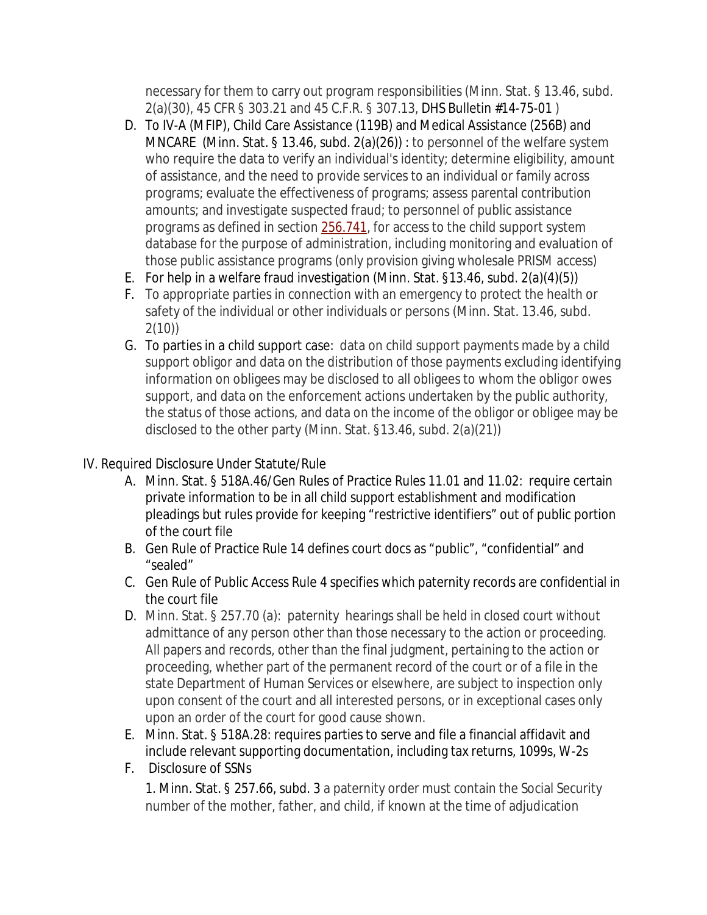necessary for them to carry out program responsibilities (Minn. Stat. § 13.46, subd. 2(a)(30), 45 CFR § 303.21 and 45 C.F.R. § 307.13, DHS Bulletin #14-75-01 )

- D. To IV-A (MFIP), Child Care Assistance (119B) and Medical Assistance (256B) and MNCARE (Minn. Stat. § 13.46, subd. 2(a)(26)) : to personnel of the welfare system who require the data to verify an individual's identity; determine eligibility, amount of assistance, and the need to provide services to an individual or family across programs; evaluate the effectiveness of programs; assess parental contribution amounts; and investigate suspected fraud; to personnel of public assistance programs as defined in section 256.741, for access to the child support system database for the purpose of administration, including monitoring and evaluation of those public assistance programs (only provision giving wholesale PRISM access)
- E. For help in a welfare fraud investigation (Minn. Stat. §13.46, subd. 2(a)(4)(5))
- F. To appropriate parties in connection with an emergency to protect the health or safety of the individual or other individuals or persons (Minn. Stat. 13.46, subd. 2(10))
- G. To parties in a child support case: data on child support payments made by a child support obligor and data on the distribution of those payments excluding identifying information on obligees may be disclosed to all obligees to whom the obligor owes support, and data on the enforcement actions undertaken by the public authority, the status of those actions, and data on the income of the obligor or obligee may be disclosed to the other party (Minn. Stat. §13.46, subd. 2(a)(21))
- IV. Required Disclosure Under Statute/Rule
	- A. Minn. Stat. § 518A.46/Gen Rules of Practice Rules 11.01 and 11.02: require certain private information to be in all child support establishment and modification pleadings but rules provide for keeping "restrictive identifiers" out of public portion of the court file
	- B. Gen Rule of Practice Rule 14 defines court docs as "public", "confidential" and "sealed"
	- C. Gen Rule of Public Access Rule 4 specifies which paternity records are confidential in the court file
	- D. Minn. Stat. § 257.70 (a): paternity hearings shall be held in closed court without admittance of any person other than those necessary to the action or proceeding. All papers and records, other than the final judgment, pertaining to the action or proceeding, whether part of the permanent record of the court or of a file in the state Department of Human Services or elsewhere, are subject to inspection only upon consent of the court and all interested persons, or in exceptional cases only upon an order of the court for good cause shown.
	- E. Minn. Stat. § 518A.28: requires parties to serve and file a financial affidavit and include relevant supporting documentation, including tax returns, 1099s, W-2s
	- F. Disclosure of SSNs

1. Minn. Stat. § 257.66, subd. 3 a paternity order must contain the Social Security number of the mother, father, and child, if known at the time of adjudication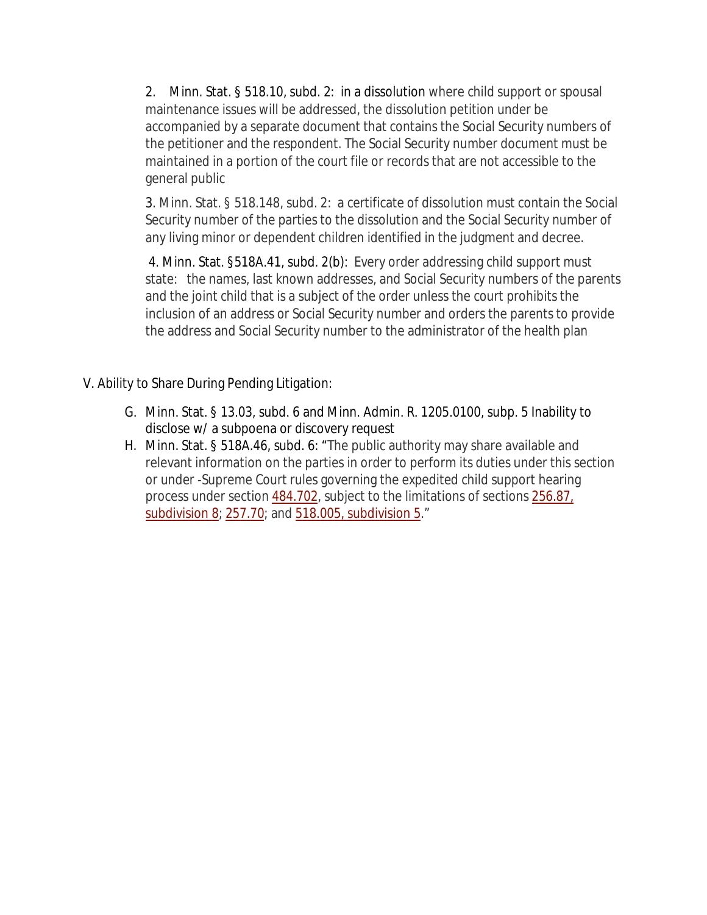2. Minn. Stat. § 518.10, subd. 2: in a dissolution where child support or spousal maintenance issues will be addressed, the dissolution petition under be accompanied by a separate document that contains the Social Security numbers of the petitioner and the respondent. The Social Security number document must be maintained in a portion of the court file or records that are not accessible to the general public

3. Minn. Stat. § 518.148, subd. 2: a certificate of dissolution must contain the Social Security number of the parties to the dissolution and the Social Security number of any living minor or dependent children identified in the judgment and decree.

4. Minn. Stat. §518A.41, subd. 2(b): Every order addressing child support must state: the names, last known addresses, and Social Security numbers of the parents and the joint child that is a subject of the order unless the court prohibits the inclusion of an address or Social Security number and orders the parents to provide the address and Social Security number to the administrator of the health plan

- V. Ability to Share During Pending Litigation:
	- G. Minn. Stat. § 13.03, subd. 6 and Minn. Admin. R. 1205.0100, subp. 5 Inability to disclose w/ a subpoena or discovery request
	- H. Minn. Stat. § 518A.46, subd. 6: "The public authority may share available and relevant information on the parties in order to perform its duties under this section or under -Supreme Court rules governing the expedited child support hearing process under section 484.702, subject to the limitations of sections 256.87, subdivision 8; 257.70; and 518.005, subdivision 5."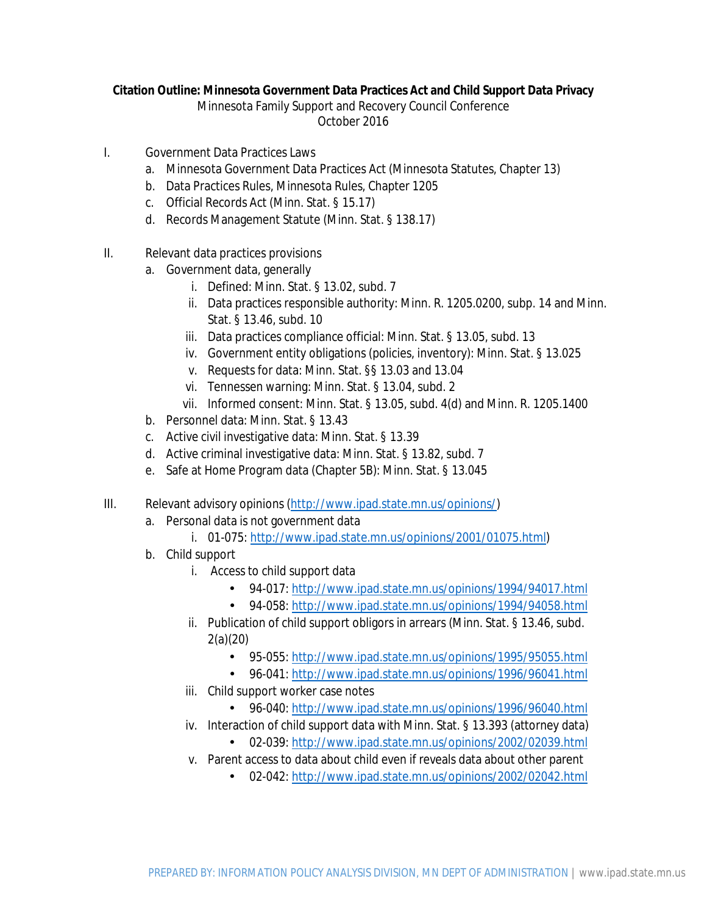#### **Citation Outline: Minnesota Government Data Practices Act and Child Support Data Privacy**

Minnesota Family Support and Recovery Council Conference

October 2016

- I. Government Data Practices Laws
	- a. Minnesota Government Data Practices Act (Minnesota Statutes, Chapter 13)
	- b. Data Practices Rules, Minnesota Rules, Chapter 1205
	- c. Official Records Act (Minn. Stat. § 15.17)
	- d. Records Management Statute (Minn. Stat. § 138.17)
- II. Relevant data practices provisions
	- a. Government data, generally
		- i. Defined: Minn. Stat. § 13.02, subd. 7
		- ii. Data practices responsible authority: Minn. R. 1205.0200, subp. 14 and Minn. Stat. § 13.46, subd. 10
		- iii. Data practices compliance official: Minn. Stat. § 13.05, subd. 13
		- iv. Government entity obligations (policies, inventory): Minn. Stat. § 13.025
		- v. Requests for data: Minn. Stat. §§ 13.03 and 13.04
		- vi. Tennessen warning: Minn. Stat. § 13.04, subd. 2
		- vii. Informed consent: Minn. Stat. § 13.05, subd. 4(d) and Minn. R. 1205.1400
	- b. Personnel data: Minn. Stat. § 13.43
	- c. Active civil investigative data: Minn. Stat. § 13.39
	- d. Active criminal investigative data: Minn. Stat. § 13.82, subd. 7
	- e. Safe at Home Program data (Chapter 5B): Minn. Stat. § 13.045
- III. Relevant advisory opinions (http://www.ipad.state.mn.us/opinions/)
	- a. Personal data is not government data

l,

- i. 01-075: http://www.ipad.state.mn.us/opinions/2001/01075.html)
- b. Child support
	- i. Access to child support data
		- 94-017: http://www.ipad.state.mn.us/opinions/1994/94017.html
		- 94-058: http://www.ipad.state.mn.us/opinions/1994/94058.html
	- ii. Publication of child support obligors in arrears (Minn. Stat. § 13.46, subd. 2(a)(20)
		- 95-055: http://www.ipad.state.mn.us/opinions/1995/95055.html
		- 96-041: http://www.ipad.state.mn.us/opinions/1996/96041.html
	- iii. Child support worker case notes
		- 96-040: http://www.ipad.state.mn.us/opinions/1996/96040.html
	- iv. Interaction of child support data with Minn. Stat. § 13.393 (attorney data)
		- 02-039: http://www.ipad.state.mn.us/opinions/2002/02039.html
	- v. Parent access to data about child even if reveals data about other parent
		- 02-042: http://www.ipad.state.mn.us/opinions/2002/02042.htmle i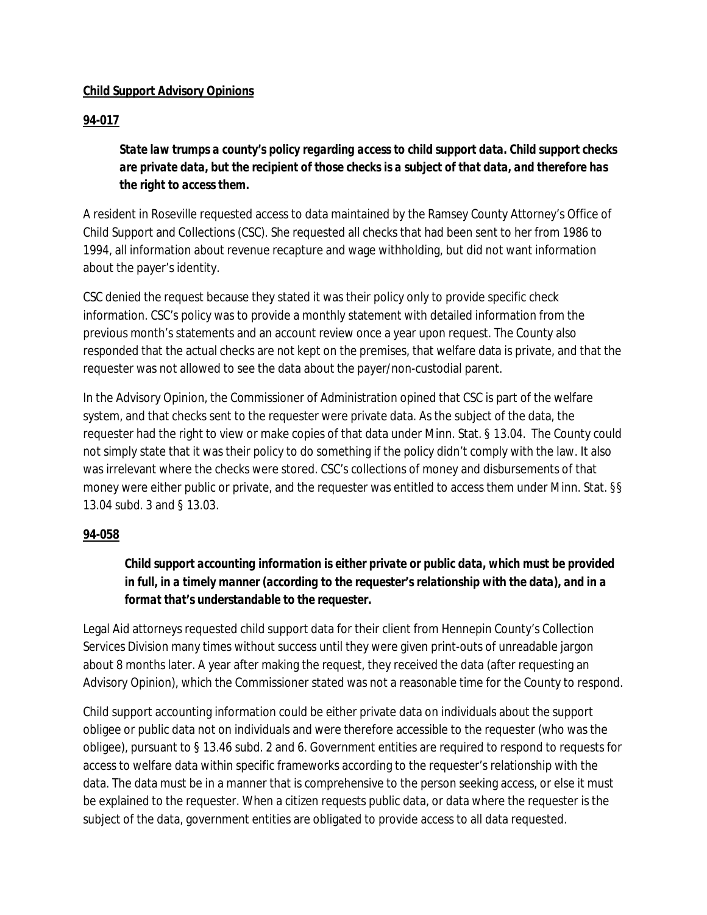### **Child Support Advisory Opinions**

### **94-017**

*State law trumps a county's policy regarding access to child support data. Child support checks are private data, but the recipient of those checks is a subject of that data, and therefore has the right to access them.*

A resident in Roseville requested access to data maintained by the Ramsey County Attorney's Office of Child Support and Collections (CSC). She requested all checks that had been sent to her from 1986 to 1994, all information about revenue recapture and wage withholding, but did not want information about the payer's identity.

CSC denied the request because they stated it was their policy only to provide specific check information. CSC's policy was to provide a monthly statement with detailed information from the previous month's statements and an account review once a year upon request. The County also responded that the actual checks are not kept on the premises, that welfare data is private, and that the requester was not allowed to see the data about the payer/non-custodial parent.

In the Advisory Opinion, the Commissioner of Administration opined that CSC is part of the welfare system, and that checks sent to the requester were private data. As the subject of the data, the requester had the right to view or make copies of that data under Minn. Stat. § 13.04. The County could not simply state that it was their policy to do something if the policy didn't comply with the law. It also was irrelevant where the checks were stored. CSC's collections of money and disbursements of that money were either public or private, and the requester was entitled to access them under Minn. Stat. §§ 13.04 subd. 3 and § 13.03.

### **94-058**

### *Child support accounting information is either private or public data, which must be provided in full, in a timely manner (according to the requester's relationship with the data), and in a format that's understandable to the requester.*

Legal Aid attorneys requested child support data for their client from Hennepin County's Collection Services Division many times without success until they were given print-outs of unreadable jargon about 8 months later. A year after making the request, they received the data (after requesting an Advisory Opinion), which the Commissioner stated was not a reasonable time for the County to respond.

Child support accounting information could be either private data on individuals about the support obligee or public data not on individuals and were therefore accessible to the requester (who was the obligee), pursuant to § 13.46 subd. 2 and 6. Government entities are required to respond to requests for access to welfare data within specific frameworks according to the requester's relationship with the data. The data must be in a manner that is comprehensive to the person seeking access, or else it must be explained to the requester. When a citizen requests public data, or data where the requester is the subject of the data, government entities are obligated to provide access to all data requested.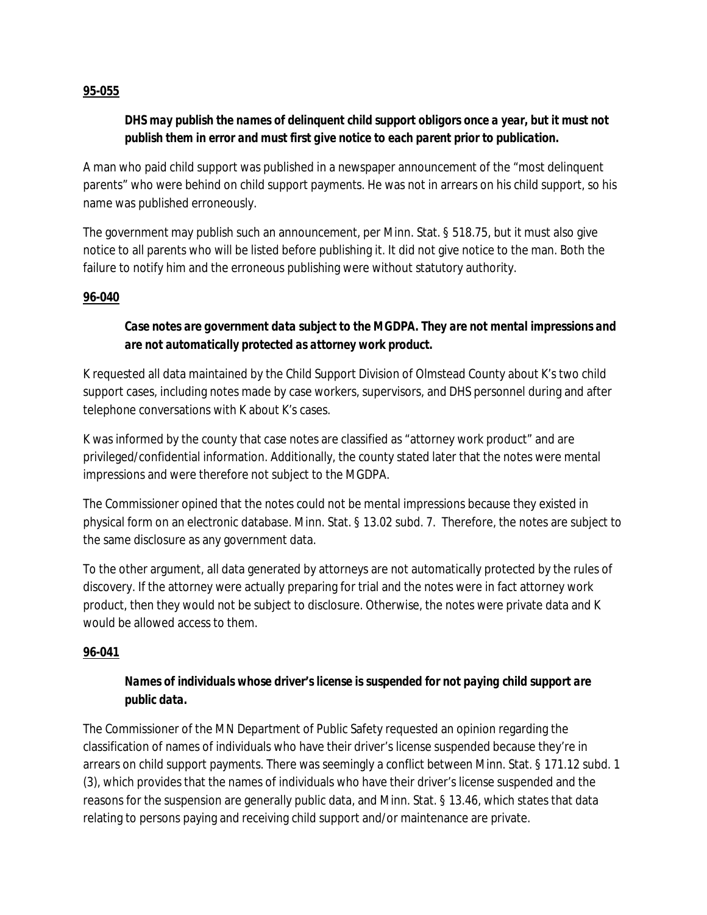#### **95-055**

### *DHS may publish the names of delinquent child support obligors once a year, but it must not publish them in error and must first give notice to each parent prior to publication.*

A man who paid child support was published in a newspaper announcement of the "most delinquent parents" who were behind on child support payments. He was not in arrears on his child support, so his name was published erroneously.

The government may publish such an announcement, per Minn. Stat. § 518.75, but it must also give notice to all parents who will be listed before publishing it. It did not give notice to the man. Both the failure to notify him and the erroneous publishing were without statutory authority.

### **96-040**

### *Case notes are government data subject to the MGDPA. They are not mental impressions and are not automatically protected as attorney work product.*

K requested all data maintained by the Child Support Division of Olmstead County about K's two child support cases, including notes made by case workers, supervisors, and DHS personnel during and after telephone conversations with K about K's cases.

K was informed by the county that case notes are classified as "attorney work product" and are privileged/confidential information. Additionally, the county stated later that the notes were mental impressions and were therefore not subject to the MGDPA.

The Commissioner opined that the notes could not be mental impressions because they existed in physical form on an electronic database. Minn. Stat. § 13.02 subd. 7. Therefore, the notes are subject to the same disclosure as any government data.

To the other argument, all data generated by attorneys are not automatically protected by the rules of discovery. If the attorney were actually preparing for trial and the notes were in fact attorney work product, then they would not be subject to disclosure. Otherwise, the notes were private data and K would be allowed access to them.

### **96-041**

### *Names of individuals whose driver's license is suspended for not paying child support are public data.*

The Commissioner of the MN Department of Public Safety requested an opinion regarding the classification of names of individuals who have their driver's license suspended because they're in arrears on child support payments. There was seemingly a conflict between Minn. Stat. § 171.12 subd. 1 (3), which provides that the names of individuals who have their driver's license suspended and the reasons for the suspension are generally public data, and Minn. Stat. § 13.46, which states that data relating to persons paying and receiving child support and/or maintenance are private.